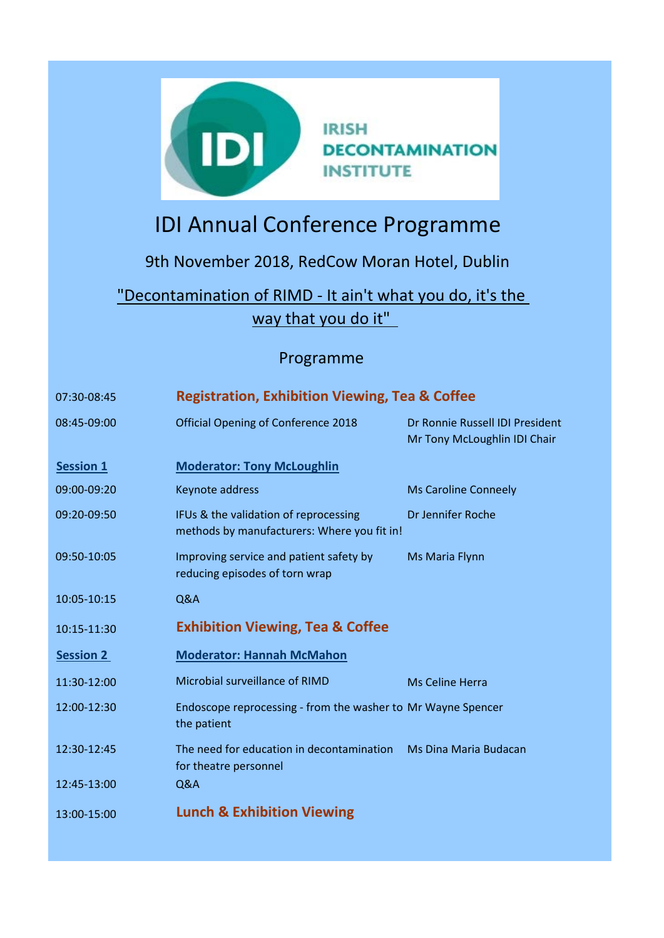

## IDI Annual Conference Programme

## 9th November 2018, RedCow Moran Hotel, Dublin

"Decontamination of RIMD - It ain't what you do, it's the way that you do it"

## Programme

| 07:30-08:45      | <b>Registration, Exhibition Viewing, Tea &amp; Coffee</b>                            |                                                                 |  |
|------------------|--------------------------------------------------------------------------------------|-----------------------------------------------------------------|--|
| 08:45-09:00      | <b>Official Opening of Conference 2018</b>                                           | Dr Ronnie Russell IDI President<br>Mr Tony McLoughlin IDI Chair |  |
| <b>Session 1</b> | <b>Moderator: Tony McLoughlin</b>                                                    |                                                                 |  |
| 09:00-09:20      | Keynote address                                                                      | <b>Ms Caroline Conneely</b>                                     |  |
| 09:20-09:50      | IFUs & the validation of reprocessing<br>methods by manufacturers: Where you fit in! | Dr Jennifer Roche                                               |  |
| 09:50-10:05      | Improving service and patient safety by<br>reducing episodes of torn wrap            | Ms Maria Flynn                                                  |  |
| 10:05-10:15      | Q&A                                                                                  |                                                                 |  |
| 10:15-11:30      | <b>Exhibition Viewing, Tea &amp; Coffee</b>                                          |                                                                 |  |
| <b>Session 2</b> | <b>Moderator: Hannah McMahon</b>                                                     |                                                                 |  |
| 11:30-12:00      | Microbial surveillance of RIMD                                                       | <b>Ms Celine Herra</b>                                          |  |
| 12:00-12:30      | Endoscope reprocessing - from the washer to Mr Wayne Spencer<br>the patient          |                                                                 |  |
| 12:30-12:45      | The need for education in decontamination<br>for theatre personnel                   | Ms Dina Maria Budacan                                           |  |
| 12:45-13:00      | Q&A                                                                                  |                                                                 |  |
| 13:00-15:00      | <b>Lunch &amp; Exhibition Viewing</b>                                                |                                                                 |  |